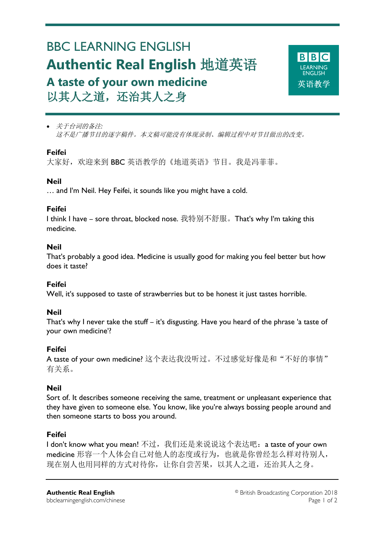# BBC LEARNING ENGLISH **Authentic Real English** 地道英语 **A taste of your own medicine** 以其人之道,还治其人之身



 关于台词的备注*:* 这不是广播节目的逐字稿件。本文稿可能没有体现录制、编辑过程中对节目做出的改变。

# **Feifei**

Ξ

大家好,欢迎来到 BBC 英语教学的《地道英语》节目。我是冯菲菲。

## **Neil**

… and I'm Neil. Hey Feifei, it sounds like you might have a cold.

## **Feifei**

I think I have – sore throat, blocked nose. 我特别不舒服。That's why I'm taking this medicine.

## **Neil**

That's probably a good idea. Medicine is usually good for making you feel better but how does it taste?

## **Feifei**

Well, it's supposed to taste of strawberries but to be honest it just tastes horrible.

## **Neil**

That's why I never take the stuff – it's disgusting. Have you heard of the phrase 'a taste of your own medicine'?

# **Feifei**

A taste of your own medicine? 这个表达我没听过。不过感觉好像是和"不好的事情" 有关系。

## **Neil**

Sort of. It describes someone receiving the same, treatment or unpleasant experience that they have given to someone else. You know, like you're always bossing people around and then someone starts to boss you around.

# **Feifei**

I don't know what you mean! 不过, 我们还是来说说这个表达吧: a taste of your own medicine 形容一个人体会自己对他人的态度或行为, 也就是你曾经怎么样对待别人, 现在别人也用同样的方式对待你,让你自尝苦果,以其人之道,还治其人之身。